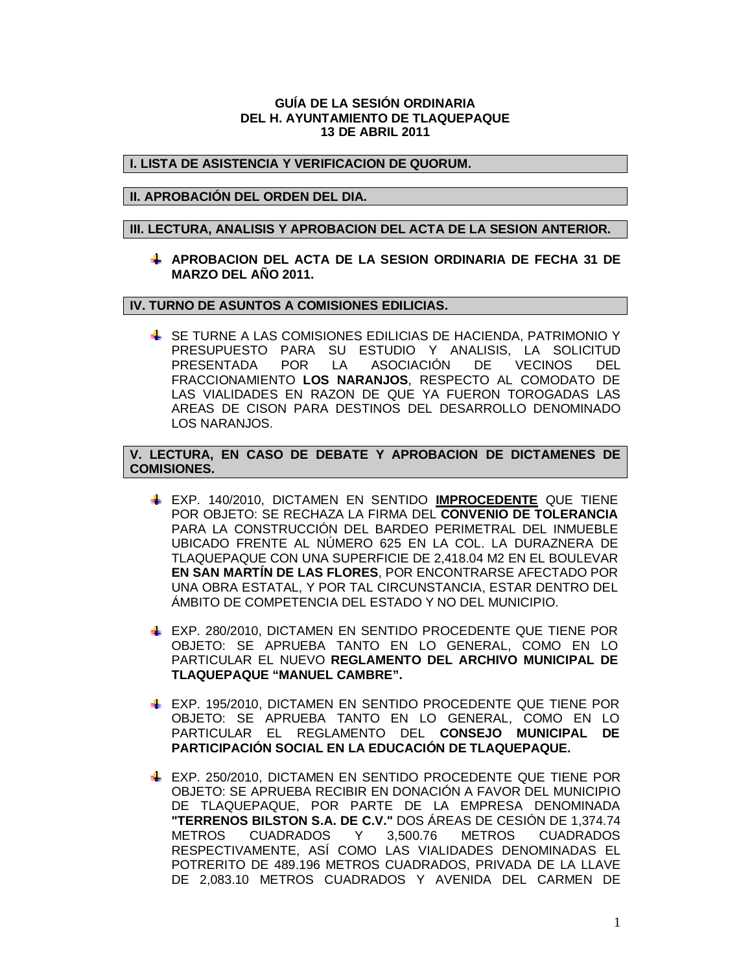### **GUÍA DE LA SESIÓN ORDINARIA DEL H. AYUNTAMIENTO DE TLAQUEPAQUE 13 DE ABRIL 2011**

# **I. LISTA DE ASISTENCIA Y VERIFICACION DE QUORUM.**

## **II. APROBACIÓN DEL ORDEN DEL DIA.**

#### **III. LECTURA, ANALISIS Y APROBACION DEL ACTA DE LA SESION ANTERIOR.**

**APROBACION DEL ACTA DE LA SESION ORDINARIA DE FECHA 31 DE MARZO DEL AÑO 2011.**

# **IV. TURNO DE ASUNTOS A COMISIONES EDILICIAS.**

SE TURNE A LAS COMISIONES EDILICIAS DE HACIENDA, PATRIMONIO Y PRESUPUESTO PARA SU ESTUDIO Y ANALISIS, LA SOLICITUD PRESENTADA POR LA ASOCIACIÓN DE VECINOS DEL FRACCIONAMIENTO **LOS NARANJOS**, RESPECTO AL COMODATO DE LAS VIALIDADES EN RAZON DE QUE YA FUERON TOROGADAS LAS AREAS DE CISON PARA DESTINOS DEL DESARROLLO DENOMINADO LOS NARANJOS.

# **V. LECTURA, EN CASO DE DEBATE Y APROBACION DE DICTAMENES DE COMISIONES.**

- EXP. 140/2010, DICTAMEN EN SENTIDO **IMPROCEDENTE** QUE TIENE POR OBJETO: SE RECHAZA LA FIRMA DEL **CONVENIO DE TOLERANCIA** PARA LA CONSTRUCCIÓN DEL BARDEO PERIMETRAL DEL INMUEBLE UBICADO FRENTE AL NÚMERO 625 EN LA COL. LA DURAZNERA DE TLAQUEPAQUE CON UNA SUPERFICIE DE 2,418.04 M2 EN EL BOULEVAR **EN SAN MARTÍN DE LAS FLORES**, POR ENCONTRARSE AFECTADO POR UNA OBRA ESTATAL, Y POR TAL CIRCUNSTANCIA, ESTAR DENTRO DEL ÁMBITO DE COMPETENCIA DEL ESTADO Y NO DEL MUNICIPIO.
- EXP. 280/2010, DICTAMEN EN SENTIDO PROCEDENTE QUE TIENE POR OBJETO: SE APRUEBA TANTO EN LO GENERAL, COMO EN LO PARTICULAR EL NUEVO **REGLAMENTO DEL ARCHIVO MUNICIPAL DE TLAQUEPAQUE "MANUEL CAMBRE".**
- EXP. 195/2010, DICTAMEN EN SENTIDO PROCEDENTE QUE TIENE POR OBJETO: SE APRUEBA TANTO EN LO GENERAL, COMO EN LO PARTICULAR EL REGLAMENTO DEL **CONSEJO MUNICIPAL DE PARTICIPACIÓN SOCIAL EN LA EDUCACIÓN DE TLAQUEPAQUE.**
- EXP. 250/2010, DICTAMEN EN SENTIDO PROCEDENTE QUE TIENE POR OBJETO: SE APRUEBA RECIBIR EN DONACIÓN A FAVOR DEL MUNICIPIO DE TLAQUEPAQUE, POR PARTE DE LA EMPRESA DENOMINADA **"TERRENOS BILSTON S.A. DE C.V."** DOS ÁREAS DE CESIÓN DE 1,374.74 METROS CUADRADOS Y 3,500.76 METROS CUADRADOS RESPECTIVAMENTE, ASÍ COMO LAS VIALIDADES DENOMINADAS EL POTRERITO DE 489.196 METROS CUADRADOS, PRIVADA DE LA LLAVE DE 2,083.10 METROS CUADRADOS Y AVENIDA DEL CARMEN DE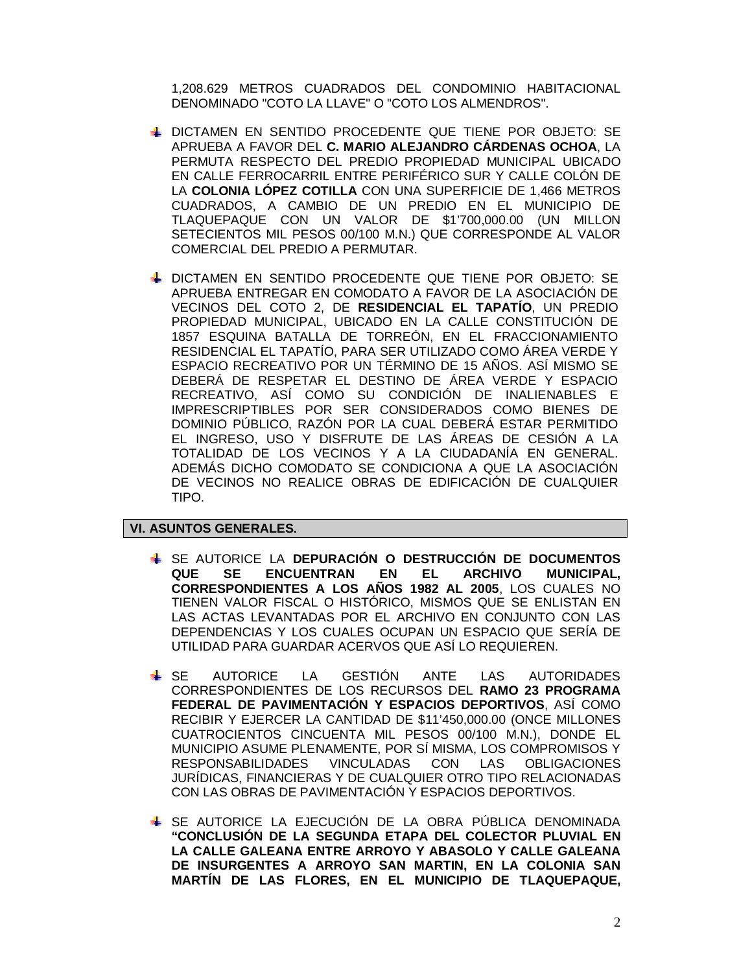1,208.629 METROS CUADRADOS DEL CONDOMINIO HABITACIONAL DENOMINADO "COTO LA LLAVE" O "COTO LOS ALMENDROS".

- **Le dictamen en sentido procedente que tiene por objeto: se** APRUEBA A FAVOR DEL **C. MARIO ALEJANDRO CÁRDENAS OCHOA**, LA PERMUTA RESPECTO DEL PREDIO PROPIEDAD MUNICIPAL UBICADO EN CALLE FERROCARRIL ENTRE PERIFÉRICO SUR Y CALLE COLÓN DE LA **COLONIA LÓPEZ COTILLA** CON UNA SUPERFICIE DE 1,466 METROS CUADRADOS, A CAMBIO DE UN PREDIO EN EL MUNICIPIO DE TLAQUEPAQUE CON UN VALOR DE \$1'700,000.00 (UN MILLON SETECIENTOS MIL PESOS 00/100 M.N.) QUE CORRESPONDE AL VALOR COMERCIAL DEL PREDIO A PERMUTAR.
- DICTAMEN EN SENTIDO PROCEDENTE QUE TIENE POR OBJETO: SE APRUEBA ENTREGAR EN COMODATO A FAVOR DE LA ASOCIACIÓN DE VECINOS DEL COTO 2, DE **RESIDENCIAL EL TAPATÍO**, UN PREDIO PROPIEDAD MUNICIPAL, UBICADO EN LA CALLE CONSTITUCIÓN DE 1857 ESQUINA BATALLA DE TORREÓN, EN EL FRACCIONAMIENTO RESIDENCIAL EL TAPATÍO, PARA SER UTILIZADO COMO ÁREA VERDE Y ESPACIO RECREATIVO POR UN TÉRMINO DE 15 AÑOS. ASÍ MISMO SE DEBERÁ DE RESPETAR EL DESTINO DE ÁREA VERDE Y ESPACIO RECREATIVO, ASÍ COMO SU CONDICIÓN DE INALIENABLES E IMPRESCRIPTIBLES POR SER CONSIDERADOS COMO BIENES DE DOMINIO PÚBLICO, RAZÓN POR LA CUAL DEBERÁ ESTAR PERMITIDO EL INGRESO, USO Y DISFRUTE DE LAS ÁREAS DE CESIÓN A LA TOTALIDAD DE LOS VECINOS Y A LA CIUDADANÍA EN GENERAL. ADEMÁS DICHO COMODATO SE CONDICIONA A QUE LA ASOCIACIÓN DE VECINOS NO REALICE OBRAS DE EDIFICACIÓN DE CUALQUIER TIPO.

#### **VI. ASUNTOS GENERALES.**

- SE AUTORICE LA **DEPURACIÓN O DESTRUCCIÓN DE DOCUMENTOS QUE SE ENCUENTRAN EN EL ARCHIVO MUNICIPAL, CORRESPONDIENTES A LOS AÑOS 1982 AL 2005**, LOS CUALES NO TIENEN VALOR FISCAL O HISTÓRICO, MISMOS QUE SE ENLISTAN EN LAS ACTAS LEVANTADAS POR EL ARCHIVO EN CONJUNTO CON LAS DEPENDENCIAS Y LOS CUALES OCUPAN UN ESPACIO QUE SERÍA DE UTILIDAD PARA GUARDAR ACERVOS QUE ASÍ LO REQUIEREN.
- SE AUTORICE LA GESTIÓN ANTE LAS AUTORIDADES CORRESPONDIENTES DE LOS RECURSOS DEL **RAMO 23 PROGRAMA FEDERAL DE PAVIMENTACIÓN Y ESPACIOS DEPORTIVOS**, ASÍ COMO RECIBIR Y EJERCER LA CANTIDAD DE \$11'450,000.00 (ONCE MILLONES CUATROCIENTOS CINCUENTA MIL PESOS 00/100 M.N.), DONDE EL MUNICIPIO ASUME PLENAMENTE, POR SÍ MISMA, LOS COMPROMISOS Y RESPONSABILIDADES VINCULADAS CON LAS OBLIGACIONES JURÍDICAS, FINANCIERAS Y DE CUALQUIER OTRO TIPO RELACIONADAS CON LAS OBRAS DE PAVIMENTACIÓN Y ESPACIOS DEPORTIVOS.
- SE AUTORICE LA EJECUCIÓN DE LA OBRA PÚBLICA DENOMINADA **"CONCLUSIÓN DE LA SEGUNDA ETAPA DEL COLECTOR PLUVIAL EN LA CALLE GALEANA ENTRE ARROYO Y ABASOLO Y CALLE GALEANA DE INSURGENTES A ARROYO SAN MARTIN, EN LA COLONIA SAN MARTÍN DE LAS FLORES, EN EL MUNICIPIO DE TLAQUEPAQUE,**